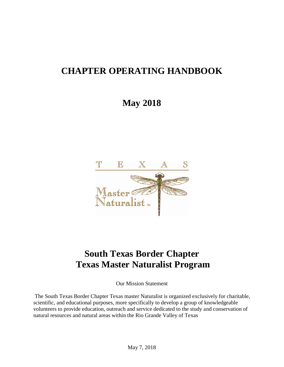# **CHAPTER OPERATING HANDBOOK**

# **May 2018**



# **South Texas Border Chapter Texas Master Naturalist Program**

Our Mission Statement

The South Texas Border Chapter Texas master Naturalist is organized exclusively for charitable, scientific, and educational purposes, more specifically to develop a group of knowledgeable volunteers to provide education, outreach and service dedicated to the study and conservation of natural resources and natural areas within the Rio Grande Valley of Texas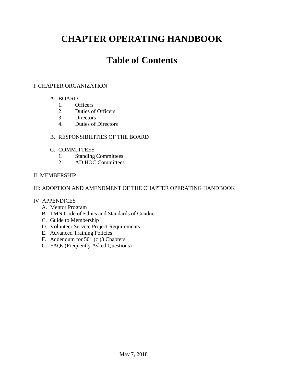# **CHAPTER OPERATING HANDBOOK**

# **Table of Contents**

## I: CHAPTER ORGANIZATION

- A. BOARD
	- 1. Officers
	- 2. Duties of Officers
	- 3. Directors
	- 4. Duties of Directors

## B. RESPONSIBILITIES OF THE BOARD

- C. COMMITTEES
	- 1. Standing Committees
	- 2. AD HOC Committees

## II: MEMBERSHIP

## III: ADOPTION AND AMENDMENT OF THE CHAPTER OPERATING HANDBOOK

## IV: APPENDICES

- A. Mentor Program
- B. TMN Code of Ethics and Standards of Conduct
- C. Guide to Membership
- D. Volunteer Service Project Requirements
- E. Advanced Training Policies
- F. Addendum for 501 (c )3 Chapters
- G. FAQs (Frequently Asked Questions)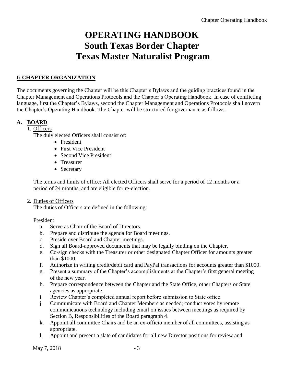# **OPERATING HANDBOOK South Texas Border Chapter Texas Master Naturalist Program**

# **I: CHAPTER ORGANIZATION**

The documents governing the Chapter will be this Chapter's Bylaws and the guiding practices found in the Chapter Management and Operations Protocols and the Chapter's Operating Handbook. In case of conflicting language, first the Chapter's Bylaws, second the Chapter Management and Operations Protocols shall govern the Chapter's Operating Handbook. The Chapter will be structured for governance as follows.

# **A. BOARD**

## 1. Officers

The duly elected Officers shall consist of:

- President
- First Vice President
- Second Vice President
- Treasurer
- Secretary

The terms and limits of office: All elected Officers shall serve for a period of 12 months or a period of 24 months, and are eligible for re-election.

## 2. Duties of Officers

The duties of Officers are defined in the following:

## President

- a. Serve as Chair of the Board of Directors.
- b. Prepare and distribute the agenda for Board meetings.
- c. Preside over Board and Chapter meetings.
- d. Sign all Board-approved documents that may be legally binding on the Chapter.
- e. Co-sign checks with the Treasurer or other designated Chapter Officer for amounts greater than \$1000.
- f. Authorize in writing credit/debit card and PayPal transactions for accounts greater than \$1000.
- g. Present a summary of the Chapter's accomplishments at the Chapter's first general meeting of the new year.
- h. Prepare correspondence between the Chapter and the State Office, other Chapters or State agencies as appropriate.
- i. Review Chapter's completed annual report before submission to State office.
- j. Communicate with Board and Chapter Members as needed; conduct votes by remote communications technology including email on issues between meetings as required by Section B, Responsibilities of the Board paragraph 4.
- k. Appoint all committee Chairs and be an ex-officio member of all committees, assisting as appropriate.
- l. Appoint and present a slate of candidates for all new Director positions for review and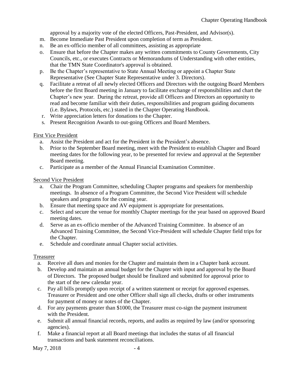approval by a majority vote of the elected Officers, Past-President, and Advisor(s).

- m. Become Immediate Past President upon completion of term as President.
- n. Be an ex-officio member of all committees, assisting as appropriate
- o. Ensure that before the Chapter makes any written commitments to County Governments, City Councils, etc., or executes Contracts or Memorandums of Understanding with other entities, that the TMN State Coordinator's approval is obtained.
- p. Be the Chapter's representative to State Annual Meeting or appoint a Chapter State Representative (See Chapter State Representative under 3. Directors).
- q. Facilitate a retreat of all newly elected Officers and Directors with the outgoing Board Members before the first Board meeting in January to facilitate exchange of responsibilities and chart the Chapter's new year. During the retreat, provide all Officers and Directors an opportunity to read and become familiar with their duties, responsibilities and program guiding documents (i.e. Bylaws, Protocols, etc.) stated in the Chapter Operating Handbook.
- r. Write appreciation letters for donations to the Chapter.
- s. Present Recognition Awards to out-going Officers and Board Members.

## First Vice President

- a. Assist the President and act for the President in the President's absence.
- b. Prior to the September Board meeting, meet with the President to establish Chapter and Board meeting dates for the following year, to be presented for review and approval at the September Board meeting.
- c. Participate as a member of the Annual Financial Examination Committee.

## Second Vice President

- a. Chair the Program Committee, scheduling Chapter programs and speakers for membership meetings. In absence of a Program Committee, the Second Vice President will schedule speakers and programs for the coming year.
- b. Ensure that meeting space and AV equipment is appropriate for presentations.
- c. Select and secure the venue for monthly Chapter meetings for the year based on approved Board meeting dates.
- d. Serve as an ex-officio member of the Advanced Training Committee. In absence of an Advanced Training Committee, the Second Vice-President will schedule Chapter field trips for the Chapter.
- e. Schedule and coordinate annual Chapter social activities.

## Treasurer

- a. Receive all dues and monies for the Chapter and maintain them in a Chapter bank account.
- b. Develop and maintain an annual budget for the Chapter with input and approval by the Board of Directors. The proposed budget should be finalized and submitted for approval prior to the start of the new calendar year.
- c. Pay all bills promptly upon receipt of a written statement or receipt for approved expenses. Treasurer or President and one other Officer shall sign all checks, drafts or other instruments for payment of money or notes of the Chapter.
- d. For any payments greater than \$1000, the Treasurer must co-sign the payment instrument with the President.
- e. Submit all annual financial records, reports, and audits as required by law (and/or sponsoring agencies).
- f. Make a financial report at all Board meetings that includes the status of all financial transactions and bank statement reconciliations.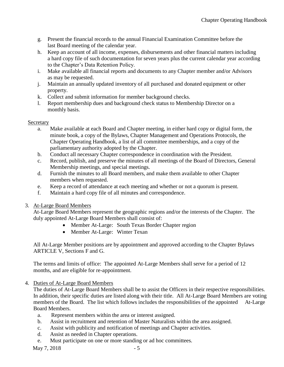- g. Present the financial records to the annual Financial Examination Committee before the last Board meeting of the calendar year.
- h. Keep an account of all income, expenses, disbursements and other financial matters including a hard copy file of such documentation for seven years plus the current calendar year according to the Chapter's Data Retention Policy.
- i. Make available all financial reports and documents to any Chapter member and/or Advisors as may be requested.
- j. Maintain an annually updated inventory of all purchased and donated equipment or other property.
- k. Collect and submit information for member background checks.
- l. Report membership dues and background check status to Membership Director on a monthly basis.

## Secretary

- a. Make available at each Board and Chapter meeting, in either hard copy or digital form, the minute book, a copy of the Bylaws, Chapter Management and Operations Protocols, the Chapter Operating Handbook, a list of all committee memberships, and a copy of the parliamentary authority adopted by the Chapter.
- b. Conduct all necessary Chapter correspondence in coordination with the President.
- c. Record, publish, and preserve the minutes of all meetings of the Board of Directors, General Membership meetings, and special meetings.
- d. Furnish the minutes to all Board members, and make them available to other Chapter members when requested.
- e. Keep a record of attendance at each meeting and whether or not a quorum is present.
- f. Maintain a hard copy file of all minutes and correspondence.

# 3. At-Large Board Members

At-Large Board Members represent the geographic regions and/or the interests of the Chapter. The duly appointed At-Large Board Members shall consist of:

- Member At-Large: South Texas Border Chapter region
- Member At-Large: Winter Texan

All At-Large Member positions are by appointment and approved according to the Chapter Bylaws ARTICLE V, Sections F and G.

The terms and limits of office: The appointed At-Large Members shall serve for a period of 12 months, and are eligible for re-appointment.

4. Duties of At-Large Board Members

The duties of At-Large Board Members shall be to assist the Officers in their respective responsibilities. In addition, their specific duties are listed along with their title. All At-Large Board Members are voting members of the Board. The list which follows includes the responsibilities of the appointed At-Large Board Members.

- a. Represent members within the area or interest assigned.
- b. Assist in recruitment and retention of Master Naturalists within the area assigned.
- c. Assist with publicity and notification of meetings and Chapter activities.
- d. Assist as needed in Chapter operations.
- e. Must participate on one or more standing or ad hoc committees.

May  $7, 2018$  - 5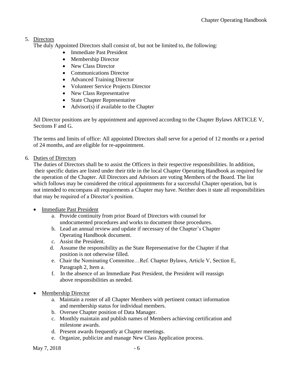# 5. Directors

The duly Appointed Directors shall consist of, but not be limited to, the following:

- Immediate Past President
- Membership Director
- New Class Director
- Communications Director
- Advanced Training Director
- Volunteer Service Projects Director
- New Class Representative
- State Chapter Representative
- Advisor(s) if available to the Chapter

All Director positions are by appointment and approved according to the Chapter Bylaws ARTICLE V, Sections F and G.

The terms and limits of office: All appointed Directors shall serve for a period of 12 months or a period of 24 months, and are eligible for re-appointment.

#### 6. Duties of Directors

The duties of Directors shall be to assist the Officers in their respective responsibilities. In addition, their specific duties are listed under their title in the local Chapter Operating Handbook as required for the operation of the Chapter. All Directors and Advisors are voting Members of the Board. The list which follows may be considered the critical appointments for a successful Chapter operation, but is not intended to encompass all requirements a Chapter may have. Neither does it state all responsibilities that may be required of a Director's position.

- **Immediate Past President** 
	- a. Provide continuity from prior Board of Directors with counsel for undocumented procedures and works to document those procedures.
	- b. Lead an annual review and update if necessary of the Chapter's Chapter Operating Handbook document.
	- c. Assist the President.
	- d. Assume the responsibility as the State Representative for the Chapter if that position is not otherwise filled.
	- e. Chair the Nominating Committee…Ref. Chapter Bylaws, Article V, Section E, Paragraph 2, Item a.
	- f. In the absence of an Immediate Past President, the President will reassign above responsibilities as needed.
- Membership Director
	- a. Maintain a roster of all Chapter Members with pertinent contact information and membership status for individual members.
	- b. Oversee Chapter position of Data Manager.
	- c. Monthly maintain and publish names of Members achieving certification and milestone awards.
	- d. Present awards frequently at Chapter meetings.
	- e. Organize, publicize and manage New Class Application process.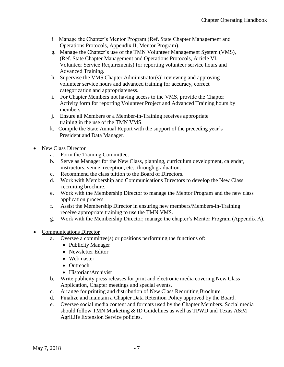- f. Manage the Chapter's Mentor Program (Ref. State Chapter Management and Operations Protocols, Appendix II, Mentor Program).
- g. Manage the Chapter's use of the TMN Volunteer Management System (VMS), (Ref. State Chapter Management and Operations Protocols, Article VI, Volunteer Service Requirements) for reporting volunteer service hours and Advanced Training.
- h. Supervise the VMS Chapter Administrator(s)' reviewing and approving volunteer service hours and advanced training for accuracy, correct categorization and appropriateness.
- i. For Chapter Members not having access to the VMS, provide the Chapter Activity form for reporting Volunteer Project and Advanced Training hours by members.
- j. Ensure all Members or a Member-in-Training receives appropriate training in the use of the TMN VMS.
- k. Compile the State Annual Report with the support of the preceding year's President and Data Manager.
- New Class Director
	- a. Form the Training Committee.
	- b. Serve as Manager for the New Class, planning, curriculum development, calendar, instructors, venue, reception, etc., through graduation.
	- c. Recommend the class tuition to the Board of Directors.
	- d. Work with Membership and Communications Directors to develop the New Class recruiting brochure.
	- e. Work with the Membership Director to manage the Mentor Program and the new class application process.
	- f. Assist the Membership Director in ensuring new members/Members-in-Training receive appropriate training to use the TMN VMS.
	- g. Work with the Membership Director; manage the chapter's Mentor Program (Appendix A).
- Communications Director
	- a. Oversee a committee(s) or positions performing the functions of:
		- Publicity Manager
		- Newsletter Editor
		- Webmaster
		- Outreach
		- Historian/Archivist
	- b. Write publicity press releases for print and electronic media covering New Class Application, Chapter meetings and special events.
	- c. Arrange for printing and distribution of New Class Recruiting Brochure.
	- d. Finalize and maintain a Chapter Data Retention Policy approved by the Board.
	- e. Oversee social media content and formats used by the Chapter Members. Social media should follow TMN Marketing & ID Guidelines as well as TPWD and Texas A&M AgriLife Extension Service policies.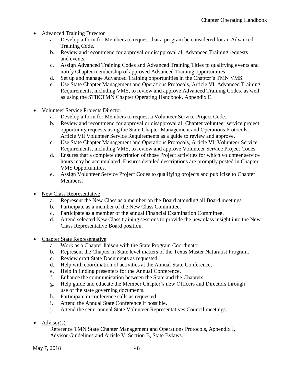- Advanced Training Director
	- a. Develop a form for Members to request that a program be considered for an Advanced Training Code.
	- b. Review and recommend for approval or disapproval all Advanced Training requests and events.
	- c. Assign Advanced Training Codes and Advanced Training Titles to qualifying events and notify Chapter membership of approved Advanced Training opportunities.
	- d. Set up and manage Advanced Training opportunities in the Chapter's TMN VMS.
	- e. Use State Chapter Management and Operations Protocols, Article VI. Advanced Training Requirements, including VMS, to review and approve Advanced Training Codes, as well as using the STBCTMN Chapter Operating Handbook, Appendix E.
- Volunteer Service Projects Director
	- a. Develop a form for Members to request a Volunteer Service Project Code.
	- b. Review and recommend for approval or disapproval all Chapter volunteer service project opportunity requests using the State Chapter Management and Operations Protocols, Article VII Volunteer Service Requirements as a guide to review and approve.
	- c. Use State Chapter Management and Operations Protocols, Article VI, Volunteer Service Requirements, including VMS, to review and approve Volunteer Service Project Codes.
	- d. Ensures that a complete description of those Project activities for which volunteer service hours may be accumulated. Ensures detailed descriptions are promptly posted in Chapter VMS Opportunities.
	- e. Assign Volunteer Service Project Codes to qualifying projects and publicize to Chapter Members.
- New Class Representative
	- a. Represent the New Class as a member on the Board attending all Board meetings.
	- b. Participate as a member of the New Class Committee.
	- c. Participate as a member of the annual Financial Examination Committee.
	- d. Attend selected New Class training sessions to provide the new class insight into the New Class Representative Board position.
- Chapter State Representative
	- a. Work as a Chapter liaison with the State Program Coordinator.
	- b. Represent the Chapter in State level matters of the Texas Master Naturalist Program.
	- c. Review draft State Documents as requested.
	- d. Help with coordination of activities at the Annual State Conference.
	- e. Help in finding presenters for the Annual Conference.
	- f. Enhance the communication between the State and the Chapters.
	- g. Help guide and educate the Member Chapter's new Officers and Directors through use of the state governing documents.
	- h. Participate in conference calls as requested.
	- i. Attend the Annual State Conference if possible.
	- j. Attend the semi-annual State Volunteer Representatives Council meetings.
- Advisor $(s)$

Reference TMN State Chapter Management and Operations Protocols, Appendix I, Advisor Guidelines and Article V, Section B, State Bylaws.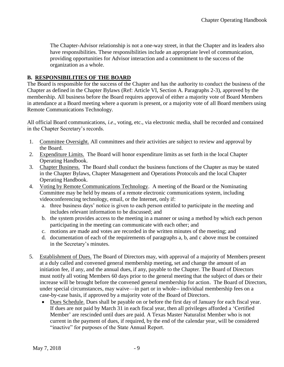The Chapter-Advisor relationship is not a one-way street, in that the Chapter and its leaders also have responsibilities. These responsibilities include an appropriate level of communication, providing opportunities for Advisor interaction and a commitment to the success of the organization as a whole.

## **B. RESPONSIBILITIES OF THE BOARD**

The Board is responsible for the success of the Chapter and has the authority to conduct the business of the Chapter as defined in the Chapter Bylaws (Ref: Article VI, Section A. Paragraphs 2-3), approved by the membership. All business before the Board requires approval of either a majority vote of Board Members in attendance at a Board meeting where a quorum is present, or a majority vote of all Board members using Remote Communications Technology.

All official Board communications, *i.e*., voting, etc., via electronic media, shall be recorded and contained in the Chapter Secretary's records.

- 1. Committee Oversight. All committees and their activities are subject to review and approval by the Board.
- 2. Expenditure Limits. The Board will honor expenditure limits as set forth in the local Chapter Operating Handbook.
- 3. Chapter Business. The Board shall conduct the business functions of the Chapter as may be stated in the Chapter Bylaws, Chapter Management and Operations Protocols and the local Chapter Operating Handbook.
- 4. Voting by Remote Communications Technology. A meeting of the Board or the Nominating Committee may be held by means of a remote electronic communications system, including videoconferencing technology, email, or the Internet, only if:
	- a. three business days' notice is given to each person entitled to participate in the meeting and includes relevant information to be discussed; and
	- b. the system provides access to the meeting in a manner or using a method by which each person participating in the meeting can communicate with each other; and
	- c. motions are made and votes are recorded in the written minutes of the meeting; and
	- d. documentation of each of the requirements of paragraphs a, b, and c above must be contained in the Secretary's minutes.
- 5. Establishment of Dues. The Board of Directors may, with approval of a majority of Members present at a duly called and convened general membership meeting, set and change the amount of an initiation fee, if any, and the annual dues, if any, payable to the Chapter. The Board of Directors must notify all voting Members 60 days prior to the general meeting that the subject of dues or their increase will be brought before the convened general membership for action. The Board of Directors, under special circumstances, may waive—in part or in whole-- individual membership fees on a case-by-case basis, if approved by a majority vote of the Board of Directors.
	- Dues Schedule. Dues shall be payable on or before the first day of January for each fiscal year. If dues are not paid by March 31 in each fiscal year, then all privileges afforded a 'Certified Member' are rescinded until dues are paid. A Texas Master Naturalist Member who is not current in the payment of dues, if required, by the end of the calendar year, will be considered "inactive" for purposes of the State Annual Report.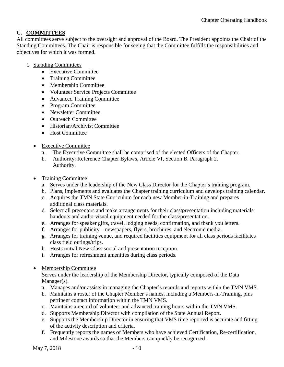# **C. COMMITTEES**

All committees serve subject to the oversight and approval of the Board. The President appoints the Chair of the Standing Committees. The Chair is responsible for seeing that the Committee fulfills the responsibilities and objectives for which it was formed.

- 1. Standing Committees
	- Executive Committee
	- Training Committee
	- Membership Committee
	- Volunteer Service Projects Committee
	- Advanced Training Committee
	- Program Committee
	- Newsletter Committee
	- Outreach Committee
	- Historian/Archivist Committee
	- Host Committee
	- Executive Committee
		- a. The Executive Committee shall be comprised of the elected Officers of the Chapter.
		- b. Authority: Reference Chapter Bylaws, Article VI, Section B. Paragraph 2. Authority.
	- Training Committee
		- a. Serves under the leadership of the New Class Director for the Chapter's training program.
		- b. Plans, implements and evaluates the Chapter training curriculum and develops training calendar.
		- c. Acquires the TMN State Curriculum for each new Member-in-Training and prepares additional class materials.
		- d. Select all presenters and make arrangements for their class/presentation including materials, handouts and audio-visual equipment needed for the class/presentation.
		- e. Arranges for speaker gifts, travel, lodging needs, confirmation, and thank you letters.
		- f. Arranges for publicity newspapers, flyers, brochures, and electronic media.
		- g. Arranges for training venue, and required facilities equipment for all class periods facilitates class field outings/trips.
		- h. Hosts initial New Class social and presentation reception.
		- i. Arranges for refreshment amenities during class periods.
	- Membership Committee

Serves under the leadership of the Membership Director, typically composed of the Data Manager(s).

- a. Manages and/or assists in managing the Chapter's records and reports within the TMN VMS.
- b. Maintains a roster of the Chapter Member's names, including a Members-in-Training, plus pertinent contact information within the TMN VMS.
- c. Maintains a record of volunteer and advanced training hours within the TMN VMS.
- d. Supports Membership Director with compilation of the State Annual Report.
- e. Supports the Membership Director in ensuring that VMS time reported is accurate and fitting of the activity description and criteria.
- f. Frequently reports the names of Members who have achieved Certification, Re-certification, and Milestone awards so that the Members can quickly be recognized.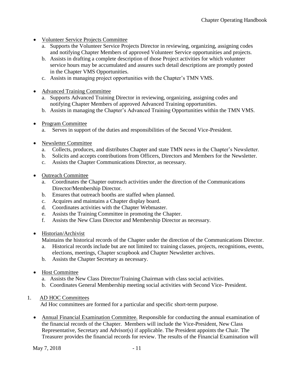- Volunteer Service Projects Committee
	- a. Supports the Volunteer Service Projects Director in reviewing, organizing, assigning codes and notifying Chapter Members of approved Volunteer Service opportunities and projects.
	- b. Assists in drafting a complete description of those Project activities for which volunteer service hours may be accumulated and assures such detail descriptions are promptly posted in the Chapter VMS Opportunities.
	- c. Assists in managing project opportunities with the Chapter's TMN VMS.
- Advanced Training Committee
	- a. Supports Advanced Training Director in reviewing, organizing, assigning codes and notifying Chapter Members of approved Advanced Training opportunities.
	- b. Assists in managing the Chapter's Advanced Training Opportunities within the TMN VMS.
- Program Committee
	- a. Serves in support of the duties and responsibilities of the Second Vice-President.
- Newsletter Committee
	- a. Collects, produces, and distributes Chapter and state TMN news in the Chapter's Newsletter.
	- b. Solicits and accepts contributions from Officers, Directors and Members for the Newsletter.
	- c. Assists the Chapter Communications Director, as necessary.
- Outreach Committee
	- a. Coordinates the Chapter outreach activities under the direction of the Communications Director/Membership Director.
	- b. Ensures that outreach booths are staffed when planned.
	- c. Acquires and maintains a Chapter display board.
	- d. Coordinates activities with the Chapter Webmaster.
	- e. Assists the Training Committee in promoting the Chapter.
	- f. Assists the New Class Director and Membership Director as necessary.
- Historian/Archivist

Maintains the historical records of the Chapter under the direction of the Communications Director.

- a. Historical records include but are not limited to: training classes, projects, recognitions, events, elections, meetings, Chapter scrapbook and Chapter Newsletter archives.
- b. Assists the Chapter Secretary as necessary.
- Host Committee
	- a. Assists the New Class Director/Training Chairman with class social activities.
	- b. Coordinates General Membership meeting social activities with Second Vice- President.

# 1. AD HOC Committees

Ad Hoc committees are formed for a particular and specific short-term purpose.

• Annual Financial Examination Committee. Responsible for conducting the annual examination of the financial records of the Chapter. Members will include the Vice-President, New Class Representative, Secretary and Advisor(s) if applicable. The President appoints the Chair. The Treasurer provides the financial records for review. The results of the Financial Examination will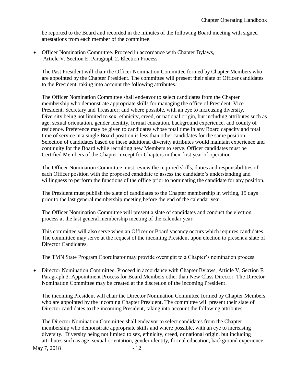be reported to the Board and recorded in the minutes of the following Board meeting with signed attestations from each member of the committee.

• Officer Nomination Committee. Proceed in accordance with Chapter Bylaws, Article V, Section E, Paragraph 2. Election Process.

The Past President will chair the Officer Nomination Committee formed by Chapter Members who are appointed by the Chapter President. The committee will present their slate of Officer candidates to the President, taking into account the following attributes.

The Officer Nomination Committee shall endeavor to select candidates from the Chapter membership who demonstrate appropriate skills for managing the office of President, Vice President, Secretary and Treasurer; and where possible, with an eye to increasing diversity. Diversity being not limited to sex, ethnicity, creed, or national origin, but including attributes such as age, sexual orientation, gender identity, formal education, background experience, and county of residence. Preference may be given to candidates whose total time in any Board capacity and total time of service in a single Board position is less than other candidates for the same position. Selection of candidates based on these additional diversity attributes would maintain experience and continuity for the Board while recruiting new Members to serve. Officer candidates must be Certified Members of the Chapter, except for Chapters in their first year of operation.

The Officer Nomination Committee must review the required skills, duties and responsibilities of each Officer position with the proposed candidate to assess the candidate's understanding and willingness to perform the functions of the office prior to nominating the candidate for any position.

The President must publish the slate of candidates to the Chapter membership in writing, 15 days prior to the last general membership meeting before the end of the calendar year.

The Officer Nomination Committee will present a slate of candidates and conduct the election process at the last general membership meeting of the calendar year.

This committee will also serve when an Officer or Board vacancy occurs which requires candidates. The committee may serve at the request of the incoming President upon election to present a slate of Director Candidates.

The TMN State Program Coordinator may provide oversight to a Chapter's nomination process.

• Director Nomination Committee. Proceed in accordance with Chapter Bylaws, Article V, Section F. Paragraph 3. Appointment Process for Board Members other than New Class Director. The Director Nomination Committee may be created at the discretion of the incoming President.

The incoming President will chair the Director Nomination Committee formed by Chapter Members who are appointed by the incoming Chapter President. The committee will present their slate of Director candidates to the incoming President, taking into account the following attributes:

The Director Nomination Committee shall endeavor to select candidates from the Chapter membership who demonstrate appropriate skills and where possible, with an eye to increasing diversity. Diversity being not limited to sex, ethnicity, creed, or national origin, but including attributes such as age, sexual orientation, gender identity, formal education, background experience,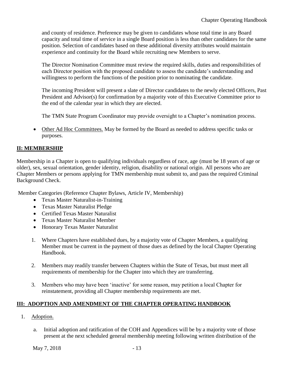and county of residence. Preference may be given to candidates whose total time in any Board capacity and total time of service in a single Board position is less than other candidates for the same position. Selection of candidates based on these additional diversity attributes would maintain experience and continuity for the Board while recruiting new Members to serve.

The Director Nomination Committee must review the required skills, duties and responsibilities of each Director position with the proposed candidate to assess the candidate's understanding and willingness to perform the functions of the position prior to nominating the candidate.

The incoming President will present a slate of Director candidates to the newly elected Officers, Past President and Advisor(s) for confirmation by a majority vote of this Executive Committee prior to the end of the calendar year in which they are elected.

The TMN State Program Coordinator may provide oversight to a Chapter's nomination process.

• Other Ad Hoc Committees. May be formed by the Board as needed to address specific tasks or purposes.

# **II: MEMBERSHIP**

Membership in a Chapter is open to qualifying individuals regardless of race, age (must be 18 years of age or older), sex, sexual orientation, gender identity, religion, disability or national origin. All persons who are Chapter Members or persons applying for TMN membership must submit to, and pass the required Criminal Background Check.

Member Categories (Reference Chapter Bylaws, Article IV, Membership)

- Texas Master Naturalist-in-Training
- Texas Master Naturalist Pledge
- Certified Texas Master Naturalist
- Texas Master Naturalist Member
- Honorary Texas Master Naturalist
- 1. Where Chapters have established dues, by a majority vote of Chapter Members, a qualifying Member must be current in the payment of those dues as defined by the local Chapter Operating Handbook.
- 2. Members may readily transfer between Chapters within the State of Texas, but must meet all requirements of membership for the Chapter into which they are transferring.
- 3. Members who may have been 'inactive' for some reason, may petition a local Chapter for reinstatement, providing all Chapter membership requirements are met.

# **III: ADOPTION AND AMENDMENT OF THE CHAPTER OPERATING HANDBOOK**

- 1. Adoption.
	- a. Initial adoption and ratification of the COH and Appendices will be by a majority vote of those present at the next scheduled general membership meeting following written distribution of the

May 7, 2018 - 13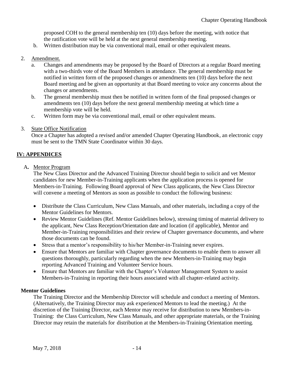proposed COH to the general membership ten (10) days before the meeting, with notice that the ratification vote will be held at the next general membership meeting.

b. Written distribution may be via conventional mail, email or other equivalent means.

## 2. Amendment.

- a. Changes and amendments may be proposed by the Board of Directors at a regular Board meeting with a two-thirds vote of the Board Members in attendance. The general membership must be notified in written form of the proposed changes or amendments ten (10) days before the next Board meeting and be given an opportunity at that Board meeting to voice any concerns about the changes or amendments.
- b. The general membership must then be notified in written form of the final proposed changes or amendments ten (10) days before the next general membership meeting at which time a membership vote will be held.
- c. Written form may be via conventional mail, email or other equivalent means.
- 3. State Office Notification

Once a Chapter has adopted a revised and/or amended Chapter Operating Handbook, an electronic copy must be sent to the TMN State Coordinator within 30 days.

# **IV: APPENDICES**

A**.** Mentor Program

The New Class Director and the Advanced Training Director should begin to solicit and vet Mentor candidates for new Member-in-Training applicants when the application process is opened for Members-in-Training. Following Board approval of New Class applicants, the New Class Director will convene a meeting of Mentors as soon as possible to conduct the following business:

- Distribute the Class Curriculum, New Class Manuals, and other materials, including a copy of the Mentor Guidelines for Mentors.
- Review Mentor Guidelines (Ref. Mentor Guidelines below), stressing timing of material delivery to the applicant, New Class Reception/Orientation date and location (if applicable), Mentor and Member-in-Training responsibilities and their review of Chapter governance documents, and where those documents can be found.
- Stress that a mentor's responsibility to his/her Member-in-Training never expires.
- Ensure that Mentors are familiar with Chapter governance documents to enable them to answer all questions thoroughly, particularly regarding when the new Members-in-Training may begin reporting Advanced Training and Volunteer Service hours.
- Ensure that Mentors are familiar with the Chapter's Volunteer Management System to assist Members-in-Training in reporting their hours associated with all chapter-related activity.

## **Mentor Guidelines**

The Training Director and the Membership Director will schedule and conduct a meeting of Mentors. (Alternatively, the Training Director may ask experienced Mentors to lead the meeting.) At the discretion of the Training Director, each Mentor may receive for distribution to new Members-in-Training: the Class Curriculum, New Class Manuals, and other appropriate materials, or the Training Director may retain the materials for distribution at the Members-in-Training Orientation meeting.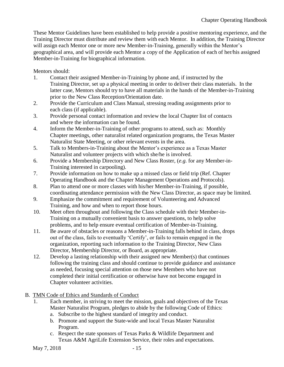These Mentor Guidelines have been established to help provide a positive mentoring experience, and the Training Director must distribute and review them with each Mentor. In addition, the Training Director will assign each Mentor one or more new Member-in-Training, generally within the Mentor's geographical area, and will provide each Mentor a copy of the Application of each of her/his assigned Member-in-Training for biographical information.

Mentors should:

- 1. Contact their assigned Member-in-Training by phone and, if instructed by the Training Director, set up a physical meeting in order to deliver their class materials. In the latter case, Mentors should try to have all materials in the hands of the Member-in-Training prior to the New Class Reception/Orientation date.
- 2. Provide the Curriculum and Class Manual, stressing reading assignments prior to each class (if applicable).
- 3. Provide personal contact information and review the local Chapter list of contacts and where the information can be found.
- 4. Inform the Member-in-Training of other programs to attend, such as: Monthly Chapter meetings, other naturalist related organization programs, the Texas Master Naturalist State Meeting, or other relevant events in the area.
- 5. Talk to Members-in-Training about the Mentor's experience as a Texas Master Naturalist and volunteer projects with which she/he is involved.
- 6. Provide a Membership Directory and New Class Roster, (*e.g.* for any Member-in-Training interested in carpooling).
- 7. Provide information on how to make up a missed class or field trip (Ref. Chapter Operating Handbook and the Chapter Management Operations and Protocols).
- 8. Plan to attend one or more classes with his/her Member-in-Training, if possible, coordinating attendance permission with the New Class Director, as space may be limited.
- 9. Emphasize the commitment and requirement of Volunteering and Advanced Training, and how and when to report those hours.
- 10. Meet often throughout and following the Class schedule with their Member-in-Training on a mutually convenient basis to answer questions, to help solve problems, and to help ensure eventual certification of Member-in-Training.
- 11. Be aware of obstacles or reasons a Member-in-Training falls behind in class, drops out of the class, fails to eventually 'Certify', or fails to remain engaged in the organization, reporting such information to the Training Director, New Class Director, Membership Director, or Board, as appropriate.
- 12. Develop a lasting relationship with their assigned new Member(s) that continues following the training class and should continue to provide guidance and assistance as needed, focusing special attention on those new Members who have not completed their initial certification or otherwise have not become engaged in Chapter volunteer activities.
- B. TMN Code of Ethics and Standards of Conduct
	- 1. Each member, in striving to meet the mission, goals and objectives of the Texas Master Naturalist Program, pledges to abide by the following Code of Ethics:
		- a. Subscribe to the highest standard of integrity and conduct.
		- b. Promote and support the State-wide and local Texas Master Naturalist Program.
		- c. Respect the state sponsors of Texas Parks & Wildlife Department and Texas A&M AgriLife Extension Service, their roles and expectations.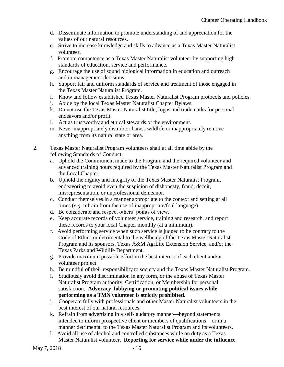- d. Disseminate information to promote understanding of and appreciation for the values of our natural resources.
- e. Strive to increase knowledge and skills to advance as a Texas Master Naturalist volunteer.
- f. Promote competence as a Texas Master Naturalist volunteer by supporting high standards of education, service and performance.
- g. Encourage the use of sound biological information in education and outreach and in management decisions.
- h. Support fair and uniform standards of service and treatment of those engaged in the Texas Master Naturalist Program.
- i. Know and follow established Texas Master Naturalist Program protocols and policies.
- j. Abide by the local Texas Master Naturalist Chapter Bylaws.
- k. Do not use the Texas Master Naturalist title, logos and trademarks for personal endeavors and/or profit.
- l. Act as trustworthy and ethical stewards of the environment.
- m. Never inappropriately disturb or harass wildlife or inappropriately remove anything from its natural state or area.
- 2. Texas Master Naturalist Program volunteers shall at all time abide by the following Standards of Conduct:
	- a. Uphold the Commitment made to the Program and the required volunteer and advanced training hours required by the Texas Master Naturalist Program and the Local Chapter.
	- b. Uphold the dignity and integrity of the Texas Master Naturalist Program, endeavoring to avoid even the suspicion of dishonesty, fraud, deceit, misrepresentation, or unprofessional demeanor.
	- c. Conduct themselves in a manner appropriate to the context and setting at all times (*e.g*. refrain from the use of inappropriate/foul language).
	- d. Be considerate and respect others' points of view.
	- e. Keep accurate records of volunteer service, training and research, and report these records to your local Chapter monthly (at a minimum).
	- f. Avoid performing service when such service is judged to be contrary to the Code of Ethics or detrimental to the wellbeing of the Texas Master Naturalist Program and its sponsors, Texas A&M AgrLife Extension Service, and/or the Texas Parks and Wildlife Department.
	- g. Provide maximum possible effort in the best interest of each client and/or volunteer project.
	- h. Be mindful of their responsibility to society and the Texas Master Naturalist Program.
	- i. Studiously avoid discrimination in any form, or the abuse of Texas Master Naturalist Program authority, Certification, or Membership for personal satisfaction. **Advocacy, lobbying or promoting political issues while performing as a TMN volunteer is strictly prohibited.**
	- j. Cooperate fully with professionals and other Master Naturalist volunteers in the best interest of our natural resources.
	- k. Refrain from advertising in a self-laudatory manner—beyond statements intended to inform prospective client or members of qualifications—or in a manner detrimental to the Texas Master Naturalist Program and its volunteers.
	- l. Avoid all use of alcohol and controlled substances while on duty as a Texas Master Naturalist volunteer. **Reporting for service while under the influence**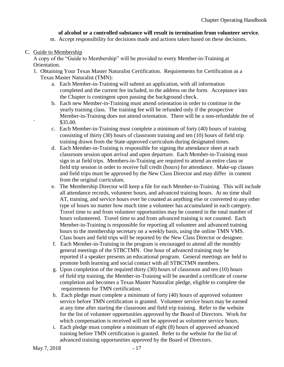## **of alcohol or a controlled substance will result in termination from volunteer service.**

m. Accept responsibility for decisions made and actions taken based on these decisions.

C. Guide to Membership

A copy of the "Guide to Membership" will be provided to every Member-in-Training at Orientation.

- 1. Obtaining Your Texas Master Naturalist Certification. Requirements for Certification as a Texas Master Naturalist (TMN):
	- a. Each Member-in-Training will submit an application, with all information completed and the current fee included, to the address on the form. Acceptance into the Chapter is contingent upon passing the background check.
	- b. Each new Member-in-Training must attend orientation in order to continue in the yearly training class. The training fee will be refunded only if the prospective Member-in-Training does not attend orientation. There will be a non-refundable fee of ` \$35.00.
	- c. Each Member-in-Training must complete a minimum of forty (40) hours of training consisting of thirty (30) hours of classroom training and ten (10) hours of field trip training drawn from the State-approved curriculum during designated times.
	- d. Each Member-in-Training is responsible for signing the attendance sheet at each classroom session upon arrival and upon departure. Each Member-in-Training must sign in at field trips. Members-in-Training are required to attend an entire class or field trip session in order to receive full credit (hours) for attendance. Make-up classes and field trips must be approved by the New Class Director and may differ in content from the original curriculum.
	- e. The Membership Director will keep a file for each Member-in-Training. This will include all attendance records, volunteer hours, and advanced training hours. At no time shall AT, training, and service hours ever be counted as anything else or converted to any other type of hours no matter how much time a volunteer has accumulated in each category. Travel time to and from volunteer opportunities may be counted in the total number of hours volunteered. Travel time to and from advanced training is not counted. Each Member-in-Training is responsible for reporting all volunteer and advanced training hours to the membership secretary on a weekly basis, using the online TMN VMS. Class hours and field trips will be reported by the New Class Director or designee.
	- f. Each Member-in-Training in the program is encouraged to attend all the monthly general meetings of the STBCTMN. One hour of advanced training may be reported if a speaker presents an educational program. General meetings are held to promote both learning and social contact with all STBCTMN members.
	- g. Upon completion of the required thirty (30) hours of classroom and ten (10) hours of field trip training, the Member-in-Training will be awarded a certificate of course completion and becomes a Texas Master Naturalist pledge, eligible to complete the requirements for TMN certification.
	- h. Each pledge must complete a minimum of forty (40) hours of approved volunteer service before TMN certification is granted. Volunteer service hours may be earned at any time after starting the classroom and field trip training. Refer to the website for the list of volunteer opportunities approved by the Board of Directors. Work for which compensation is received will not be approved as volunteer service hours.
	- i. Each pledge must complete a minimum of eight (8) hours of approved advanced training before TMN certification is granted. Refer to the website for the list of advanced training opportunities approved by the Board of Directors.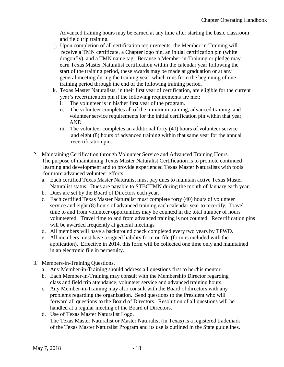Advanced training hours may be earned at any time after starting the basic classroom and field trip training.

- j. Upon completion of all certification requirements, the Member-in-Training will receive a TMN certificate, a Chapter logo pin, an initial certification pin (white dragonfly), and a TMN name tag. Because a Member-in-Training or pledge may earn Texas Master Naturalist certification within the calendar year following the start of the training period, these awards may be made at graduation or at any general meeting during the training year, which runs from the beginning of one training period through the end of the following training period.
- k. Texas Master Naturalists, in their first year of certification, are eligible for the current year's recertification pin if the following requirements are met:
	- i. The volunteer is in his/her first year of the program.
	- ii. The volunteer completes all of the minimum training, advanced training, and volunteer service requirements for the initial certification pin within that year, AND
	- iii. The volunteer completes an additional forty (40) hours of volunteer service and eight (8) hours of advanced training within that same year for the annual recertification pin.
- 2. Maintaining Certification through Volunteer Service and Advanced Training Hours. The purpose of maintaining Texas Master Naturalist Certification is to promote continued learning and development and to provide experienced Texas Master Naturalists with tools for more advanced volunteer efforts.
	- a. Each certified Texas Master Naturalist must pay dues to maintain active Texas Master Naturalist status. Dues are payable to STBCTMN during the month of January each year.
	- b. Dues are set by the Board of Directors each year.
	- c. Each certified Texas Master Naturalist must complete forty (40) hours of volunteer service and eight (8) hours of advanced training each calendar year to recertify. Travel time to and from volunteer opportunities may be counted in the total number of hours volunteered. Travel time to and from advanced training is not counted. Recertification pins will be awarded frequently at general meetings
	- d. All members will have a background check completed every two years by TPWD.
	- e. All members must have a signed liability form on file (form is included with the application). Effective in 2014, this form will be collected one time only and maintained in an electronic file in perpetuity.
- 3. Members-in-Training Questions.
	- a. Any Member-in-Training should address all questions first to her/his mentor.
	- b. Each Member-in-Training may consult with the Membership Director regarding class and field trip attendance, volunteer service and advanced training hours.
	- c. Any Member-in-Training may also consult with the Board of directors with any problems regarding the organization. Send questions to the President who will forward all questions to the Board of Directors. Resolution of all questions will be handled at a regular meeting of the Board of Directors.
	- d. Use of Texas Master Naturalist Logo. The Texas Master Naturalist or Master Naturalist (in Texas) is a registered trademark of the Texas Master Naturalist Program and its use is outlined in the State guidelines.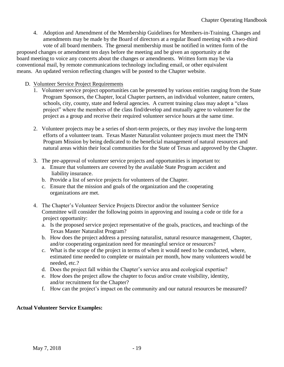4. Adoption and Amendment of the Membership Guidelines for Members-in-Training. Changes and amendments may be made by the Board of directors at a regular Board meeting with a two-third

 vote of all board members. The general membership must be notified in written form of the proposed changes or amendment ten days before the meeting and be given an opportunity at the board meeting to voice any concerts about the changes or amendments. Written form may be via conventional mail, by remote communications technology including email, or other equivalent means. An updated version reflecting changes will be posted to the Chapter website.

- D. Volunteer Service Project Requirements
	- 1. Volunteer service project opportunities can be presented by various entities ranging from the State Program Sponsors, the Chapter, local Chapter partners, an individual volunteer, nature centers, schools, city, county, state and federal agencies. A current training class may adopt a "class project" where the members of the class find/develop and mutually agree to volunteer for the project as a group and receive their required volunteer service hours at the same time.
	- 2. Volunteer projects may be a series of short-term projects, or they may involve the long-term efforts of a volunteer team. Texas Master Naturalist volunteer projects must meet the TMN Program Mission by being dedicated to the beneficial management of natural resources and natural areas within their local communities for the State of Texas and approved by the Chapter.
	- 3. The pre-approval of volunteer service projects and opportunities is important to:
		- a. Ensure that volunteers are covered by the available State Program accident and liability insurance.
		- b. Provide a list of service projects for volunteers of the Chapter.
		- c. Ensure that the mission and goals of the organization and the cooperating organizations are met.
	- 4. The Chapter's Volunteer Service Projects Director and/or the volunteer Service Committee will consider the following points in approving and issuing a code or title for a project opportunity:
		- a. Is the proposed service project representative of the goals, practices, and teachings of the Texas Master Naturalist Program?
		- b. How does the project address a pressing naturalist, natural resource management, Chapter, and/or cooperating organization need for meaningful service or resources?
		- c. What is the scope of the project in terms of when it would need to be conducted, where, estimated time needed to complete or maintain per month, how many volunteers would be needed, etc.?
		- d. Does the project fall within the Chapter's service area and ecological expertise?
		- e. How does the project allow the chapter to focus and/or create visibility, identity, and/or recruitment for the Chapter?
		- f. How can the project's impact on the community and our natural resources be measured?

# **Actual Volunteer Service Examples:**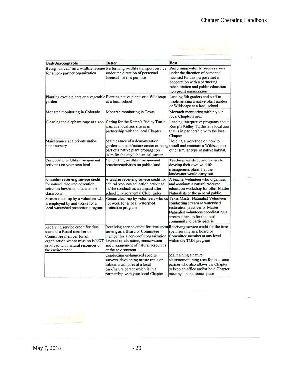| <b>Bad/Unacceptable</b>                                                                                                                                                                  | <b>Better</b>                                                                                                                                                                                                                                               | <b>Best</b>                                                                                                                                                                                                   |
|------------------------------------------------------------------------------------------------------------------------------------------------------------------------------------------|-------------------------------------------------------------------------------------------------------------------------------------------------------------------------------------------------------------------------------------------------------------|---------------------------------------------------------------------------------------------------------------------------------------------------------------------------------------------------------------|
| Being "on call" as a wildlife rescuer<br>for a non-partner organization                                                                                                                  | Performing wildlife transport service<br>under the direction of personnel<br>licensed for this purpose                                                                                                                                                      | Performing wildlife rescue service<br>under the direction of personnel<br>licensed for this purpose and in<br>cooperation with a partnering<br>rehabilitation and public education<br>non-profit organization |
| garden                                                                                                                                                                                   | Planting exotic plants or a vegetable Planting native plants or a Wildscape<br>at a local school                                                                                                                                                            | Leading 5th graders and staff in<br>implementing a native plant garden<br>or Wildscape at a local school                                                                                                      |
| Monarch monitoring in Colorado                                                                                                                                                           | Monarch monitoring in Texas                                                                                                                                                                                                                                 | Monarch monitoring within your<br>local Chapter's area                                                                                                                                                        |
| Cleaning the elephant cage at a zoo                                                                                                                                                      | Caring for the Kemp's Ridley Turtle<br>area at a local zoo that is in<br>partnership with the local Chapter                                                                                                                                                 | Leading interpretive programs about<br>Kemp's Ridley Turtles at a local zoo<br>that is in partnership with the local<br>Chapter                                                                               |
| Maintenance at a private native<br>plant nursery                                                                                                                                         | Maintenance of a demonstration<br>garden at a park/nature center or being install and maintain a Wildscape or<br>part of a native plant propagation<br>team for the city's botanical garden                                                                 | Holding a workshop on how to<br>other similar type of native habitat.                                                                                                                                         |
| Conducting wildlife management<br>activities on your own land                                                                                                                            | Conducting wildlife management<br>practices/activities on public land                                                                                                                                                                                       | Teaching/assisting landowners to<br>develop their own wildlife<br>management plans that the<br>landowner would carry out                                                                                      |
| A teacher receiving service credit<br>for natural resource education<br>activities he/she conducts in the<br>classroom                                                                   | A teacher receiving service credit for<br>natural resource education activities<br>he/she conducts as an unpaid after<br>school Environmental Club leader                                                                                                   | A teacher/volunteer who organizes<br>and conducts a natural resource<br>education workshop for other Master<br>Naturalists or the general public.                                                             |
| is employed by and works for a<br>local watershed protection program                                                                                                                     | Stream clean-up by a volunteer who Stream clean-up by volunteers who do Texas Master Naturalist Volunteers<br>not work for a local watershed<br>protection program                                                                                          | conducting stream or watershed<br>restoration practices or Master<br>Naturalist volunteers coordinating a<br>stream clean-up for the local<br>community to participate in                                     |
| Receiving service credit for time<br>spent as a Board member or<br>Committee member for an<br>organization whose mission is NOT<br>involved with natural resources or<br>the environment | Receiving service credit for time spent Receiving service credit for the time<br>serving as a Board or Committee<br>member for a non-profit organization<br>devoted to education, conservation<br>and management of natural resources<br>or the environment | spent serving as a Board or<br>Committee member at any level<br>within the TMN program                                                                                                                        |
|                                                                                                                                                                                          | Conducting endangered species<br>surveys; developing nature trails or<br>habitat brush piles at a local<br>park/nature center which is in a<br>partnership with your local Chapter                                                                          | Maintaining a nature<br>classroom/training area for that same<br>partner who also allows the Chapter<br>to keep an office and/or hold Chapter<br>meetings in this same space                                  |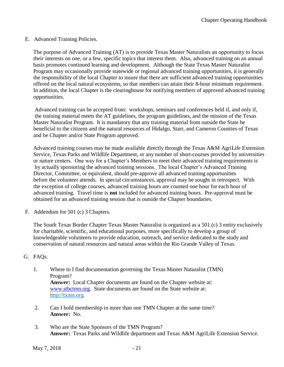#### E. Advanced Training Policies.

 The purpose of Advanced Training (AT) is to provide Texas Master Naturalists an opportunity to focus their interests on one, or a few, specific topics that interest them. Also, advanced training on an annual basis promotes continued learning and development. Although the State Texas Master Naturalist Program may occasionally provide statewide or regional advanced training opportunities, it is generally the responsibility of the local Chapter to insure that there are sufficient advanced training opportunities offered on the local natural ecosystems, so that members can attain their 8-hour minimum requirement. In addition, the local Chapter is the clearinghouse for notifying members of approved advanced training opportunities.

Advanced training can be accepted from: workshops, seminars and conferences held if, and only if, the training material meets the AT guidelines, the program guidelines, and the mission of the Texas Master Naturalist Program. It is mandatory that any training material from outside the State be beneficial to the citizens and the natural resources of Hidalgo, Starr, and Cameron Counties of Texas and be Chapter and/or State Program approved.

Advanced training courses may be made available directly through the Texas A&M AgriLife Extension Service, Texas Parks and Wildlife Department, or any number of short-courses provided by universities or nature centers. One way for a Chapter's Members to meet their advanced training requirements is by actually sponsoring the advanced training sessions. The local Chapter's Advanced Training Director, Committee, or equivalent, should pre-approve all advanced training opportunities before the volunteer attends. In special circumstances, approval may be sought in retrospect. With the exception of college courses, advanced training hours are counted one hour for each hour of advanced training. Travel time is **not** included for advanced training hours. Pre-approval must be obtained for an advanced training session that is outside the Chapter boundaries.

F. Addendum for 501 (c) 3 Chapters.

The South Texas Border Chapter Texas Master Naturalist is organized as a 501 (c) 3 entity exclusively for charitable, scientific, and educational purposes, more specifically to develop a group of knowledgeable volunteers to provide education, outreach, and service dedicated to the study and conservation of natural resources and natural areas within the Rio Grande Valley of Texas.

## G. FAQs.

- 1. Where to I find documentation governing the Texas Master Naturalist (TMN) Program? **Answer:** Local Chapter documents are found on the Chapter website at: [www.stbctmn.org.](http://www.stbctmn.org/) State documents are found on the State website at: http://txmn.org.
- 2. Can I hold membership in more than one TMN Chapter at the same time? **Answer:** No.
- 3. Who are the State Sponsors of the TMN Program? **Answer:** Texas Parks and Wildlife department and Texas A&M AgriLife Extension Service.

May 7, 2018 - 21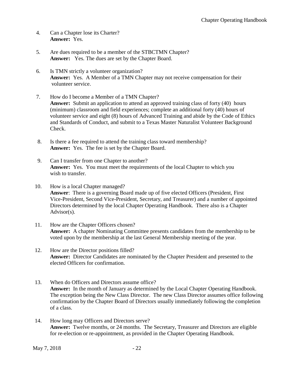- 4. Can a Chapter lose its Charter? **Answer:** Yes.
- 5. Are dues required to be a member of the STBCTMN Chapter? **Answer:** Yes. The dues are set by the Chapter Board.
- 6. Is TMN strictly a volunteer organization? **Answer:** Yes. A Member of a TMN Chapter may not receive compensation for their volunteer service.
- 7. How do I become a Member of a TMN Chapter? Answer: Submit an application to attend an approved training class of forty (40) hours (minimum) classroom and field experiences; complete an additional forty (40) hours of volunteer service and eight (8) hours of Advanced Training and abide by the Code of Ethics and Standards of Conduct, and submit to a Texas Master Naturalist Volunteer Background Check.
- 8. Is there a fee required to attend the training class toward membership? **Answer:** Yes. The fee is set by the Chapter Board.
- 9. Can I transfer from one Chapter to another? **Answer:** Yes. You must meet the requirements of the local Chapter to which you wish to transfer.
- 10. How is a local Chapter managed? **Answer**: There is a governing Board made up of five elected Officers (President, First Vice-President, Second Vice-President, Secretary, and Treasurer) and a number of appointed Directors determined by the local Chapter Operating Handbook. There also is a Chapter Advisor(s).
- 11. How are the Chapter Officers chosen? **Answer:** A chapter Nominating Committee presents candidates from the membership to be voted upon by the membership at the last General Membership meeting of the year.
- 12. How are the Director positions filled? **Answer:** Director Candidates are nominated by the Chapter President and presented to the elected Officers for confirmation.
- 13. When do Officers and Directors assume office? **Answer:** In the month of January as determined by the Local Chapter Operating Handbook. The exception being the New Class Director. The new Class Director assumes office following confirmation by the Chapter Board of Directors usually immediately following the completion of a class.
- 14. How long may Officers and Directors serve? **Answer:** Twelve months, or 24 months. The Secretary, Treasurer and Directors are eligible for re-election or re-appointment, as provided in the Chapter Operating Handbook.